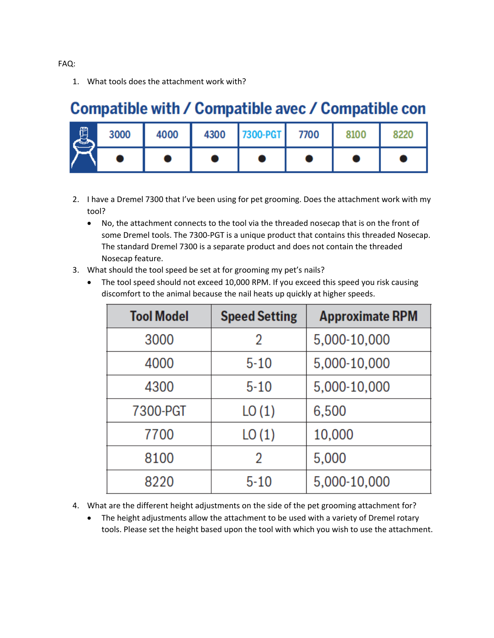1. What tools does the attachment work with?

## Compatible with / Compatible avec / Compatible con

| 闐 | 3000 | 4000 | 4300 | 7300-PGT 7700 | 8100 |  |
|---|------|------|------|---------------|------|--|
|   |      |      |      |               |      |  |

- 2. I have a Dremel 7300 that I've been using for pet grooming. Does the attachment work with my tool?
	- No, the attachment connects to the tool via the threaded nosecap that is on the front of some Dremel tools. The 7300-PGT is a unique product that contains this threaded Nosecap. The standard Dremel 7300 is a separate product and does not contain the threaded Nosecap feature.
- 3. What should the tool speed be set at for grooming my pet's nails?
	- The tool speed should not exceed 10,000 RPM. If you exceed this speed you risk causing discomfort to the animal because the nail heats up quickly at higher speeds.

| <b>Tool Model</b> | <b>Speed Setting</b> | <b>Approximate RPM</b> |
|-------------------|----------------------|------------------------|
| 3000              | 2                    | 5,000-10,000           |
| 4000              | $5 - 10$             | 5,000-10,000           |
| 4300              | $5 - 10$             | 5,000-10,000           |
| 7300-PGT          | LO(1)                | 6,500                  |
| 7700              | LO(1)                | 10,000                 |
| 8100              | 2                    | 5,000                  |
| 8220              | $5 - 10$             | 5,000-10,000           |

- 4. What are the different height adjustments on the side of the pet grooming attachment for?
	- The height adjustments allow the attachment to be used with a variety of Dremel rotary tools. Please set the height based upon the tool with which you wish to use the attachment.

FAQ: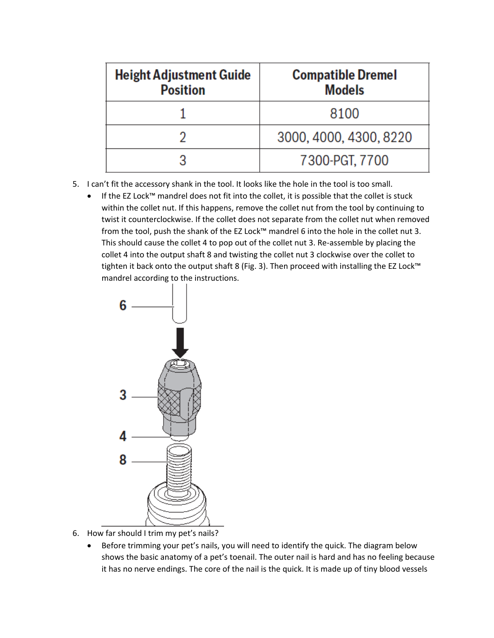| <b>Height Adjustment Guide</b><br><b>Position</b> | <b>Compatible Dremel</b><br><b>Models</b> |
|---------------------------------------------------|-------------------------------------------|
|                                                   | 8100                                      |
|                                                   | 3000, 4000, 4300, 8220                    |
|                                                   | 7300-PGT, 7700                            |

- 5. I can't fit the accessory shank in the tool. It looks like the hole in the tool is too small.
	- If the EZ Lock™ mandrel does not fit into the collet, it is possible that the collet is stuck within the collet nut. If this happens, remove the collet nut from the tool by continuing to twist it counterclockwise. If the collet does not separate from the collet nut when removed from the tool, push the shank of the EZ Lock™ mandrel 6 into the hole in the collet nut 3. This should cause the collet 4 to pop out of the collet nut 3. Re-assemble by placing the collet 4 into the output shaft 8 and twisting the collet nut 3 clockwise over the collet to tighten it back onto the output shaft 8 (Fig. 3). Then proceed with installing the EZ Lock™ mandrel according to the instructions.



- 6. How far should I trim my pet's nails?
	- Before trimming your pet's nails, you will need to identify the quick. The diagram below shows the basic anatomy of a pet's toenail. The outer nail is hard and has no feeling because it has no nerve endings. The core of the nail is the quick. It is made up of tiny blood vessels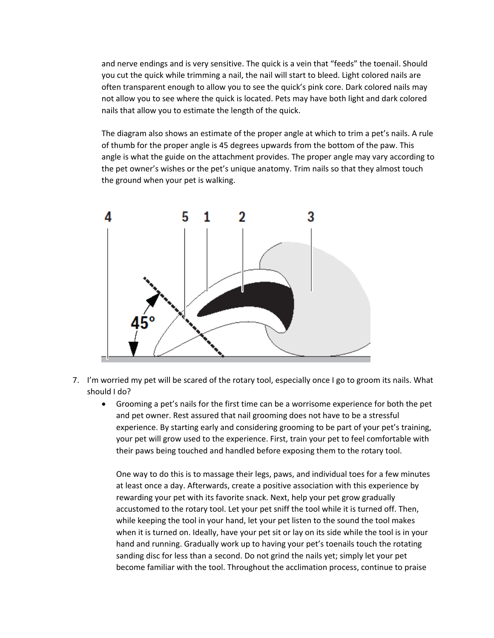and nerve endings and is very sensitive. The quick is a vein that "feeds" the toenail. Should you cut the quick while trimming a nail, the nail will start to bleed. Light colored nails are often transparent enough to allow you to see the quick's pink core. Dark colored nails may not allow you to see where the quick is located. Pets may have both light and dark colored nails that allow you to estimate the length of the quick.

The diagram also shows an estimate of the proper angle at which to trim a pet's nails. A rule of thumb for the proper angle is 45 degrees upwards from the bottom of the paw. This angle is what the guide on the attachment provides. The proper angle may vary according to the pet owner's wishes or the pet's unique anatomy. Trim nails so that they almost touch the ground when your pet is walking.



- 7. I'm worried my pet will be scared of the rotary tool, especially once I go to groom its nails. What should I do?
	- Grooming a pet's nails for the first time can be a worrisome experience for both the pet and pet owner. Rest assured that nail grooming does not have to be a stressful experience. By starting early and considering grooming to be part of your pet's training, your pet will grow used to the experience. First, train your pet to feel comfortable with their paws being touched and handled before exposing them to the rotary tool.

One way to do this is to massage their legs, paws, and individual toes for a few minutes at least once a day. Afterwards, create a positive association with this experience by rewarding your pet with its favorite snack. Next, help your pet grow gradually accustomed to the rotary tool. Let your pet sniff the tool while it is turned off. Then, while keeping the tool in your hand, let your pet listen to the sound the tool makes when it is turned on. Ideally, have your pet sit or lay on its side while the tool is in your hand and running. Gradually work up to having your pet's toenails touch the rotating sanding disc for less than a second. Do not grind the nails yet; simply let your pet become familiar with the tool. Throughout the acclimation process, continue to praise